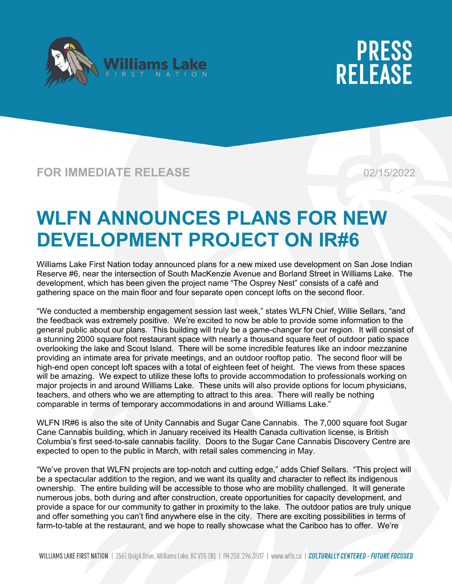



### **FOR IMMEDIATE RELEASE** 02/15/2022

### **WLFN ANNOUNCES PLANS FOR NEW DEVELOPMENT PROJECT ON IR#6**

Williams Lake First Nation today announced plans for a new mixed use development on San Jose Indian Reserve #6, near the intersection of South MacKenzie Avenue and Borland Street in Williams Lake. The development, which has been given the project name "The Osprey Nest" consists of a café and gathering space on the main floor and four separate open concept lofts on the second floor.

"We conducted a membership engagement session last week," states WLFN Chief, Willie Sellars, "and the feedback was extremely positive. We're excited to now be able to provide some information to the general public about our plans. This building will truly be a game-changer for our region. It will consist of a stunning 2000 square foot restaurant space with nearly a thousand square feet of outdoor patio space overlooking the lake and Scout Island. There will be some incredible features like an indoor mezzanine providing an intimate area for private meetings, and an outdoor rooftop patio. The second floor will be high-end open concept loft spaces with a total of eighteen feet of height. The views from these spaces will be amazing. We expect to utilize these lofts to provide accommodation to professionals working on major projects in and around Williams Lake. These units will also provide options for locum physicians, teachers, and others who we are attempting to attract to this area. There will really be nothing comparable in terms of temporary accommodations in and around Williams Lake."

WLFN IR#6 is also the site of Unity Cannabis and Sugar Cane Cannabis. The 7,000 square foot Sugar Cane Cannabis building, which in January received its Health Canada cultivation license, is British Columbia's first seed-to-sale cannabis facility. Doors to the Sugar Cane Cannabis Discovery Centre are expected to open to the public in March, with retail sales commencing in May.

"We've proven that WLFN projects are top-notch and cutting edge," adds Chief Sellars. "This project will be a spectacular addition to the region, and we want its quality and character to reflect its indigenous ownership. The entire building will be accessible to those who are mobility challenged. It will generate numerous jobs, both during and after construction, create opportunities for capacity development, and provide a space for our community to gather in proximity to the lake. The outdoor patios are truly unique and offer something you can't find anywhere else in the city. There are exciting possibilities in terms of farm-to-table at the restaurant, and we hope to really showcase what the Cariboo has to offer. We're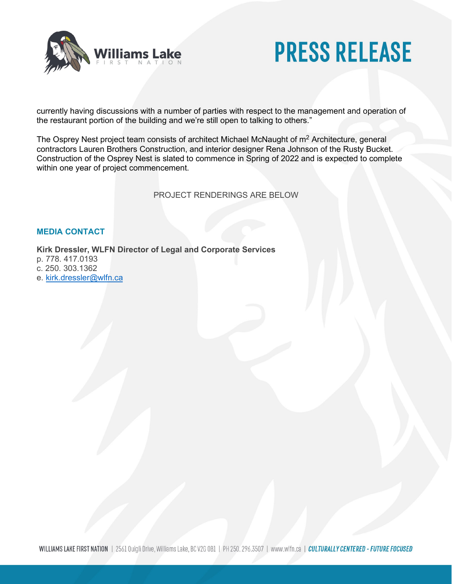

currently having discussions with a number of parties with respect to the management and operation of the restaurant portion of the building and we're still open to talking to others."

The Osprey Nest project team consists of architect Michael McNaught of m<sup>2</sup> Architecture, general contractors Lauren Brothers Construction, and interior designer Rena Johnson of the Rusty Bucket. Construction of the Osprey Nest is slated to commence in Spring of 2022 and is expected to complete within one year of project commencement.

PROJECT RENDERINGS ARE BELOW

#### **MEDIA CONTACT**

#### **Kirk Dressler, WLFN Director of Legal and Corporate Services**

p. 778. 417.0193 c. 250. 303.1362

e. [kirk.dressler@wlfn.ca](mailto:kirk.dressler@wlfn.ca)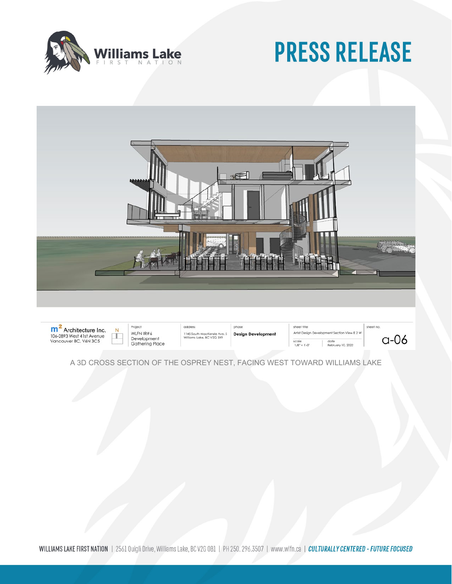



**m<sup>2</sup>** Architecture Inc.<br>106-2893 West 41st Avenue<br>Vancouver BC, V6N 3C5  $\perp$ 

Project WLFN IR#6 Development<br>Gathering Place

N

addres 1145 South MacKenzie Ave. S<br>Williams Lake, BC V2G 3X9

phase **Design Development**  sheet fifle Artist Design scale<br>1/8" = 1'-0" February 10, 2022

 $a-06$ 

sheet no

A 3D CROSS SECTION OF THE OSPREY NEST, FACING WEST TOWARD WILLIAMS LAKE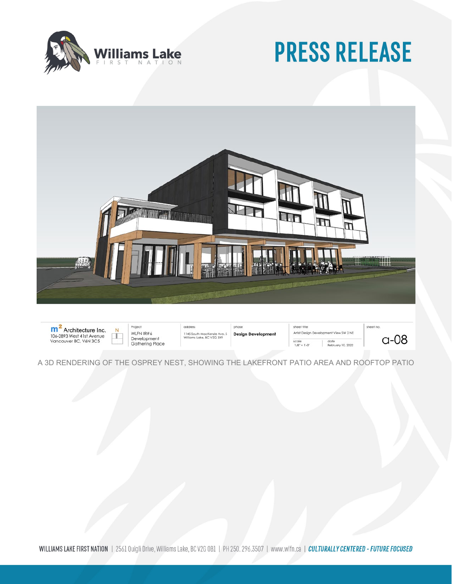

 $a-08$ 



**m<sup>2</sup>** Architecture Inc.<br>106-2893 West 41st Avenue<br>Vancouver BC, V6N 3C5 Project addres phase sheet fifle sheet no. N WLFN IR#6 Artist Design Development View SW 2 NE 1145 South MacKenzie Ave. \$<br>Williams Lake, BC V2G 3X9 **Design Development**  $\Box$ Development<br>Gathering Place  $\frac{1}{8}$  = 1'-0" date<br>February 10, 2022

A 3D RENDERING OF THE OSPREY NEST, SHOWING THE LAKEFRONT PATIO AREA AND ROOFTOP PATIO